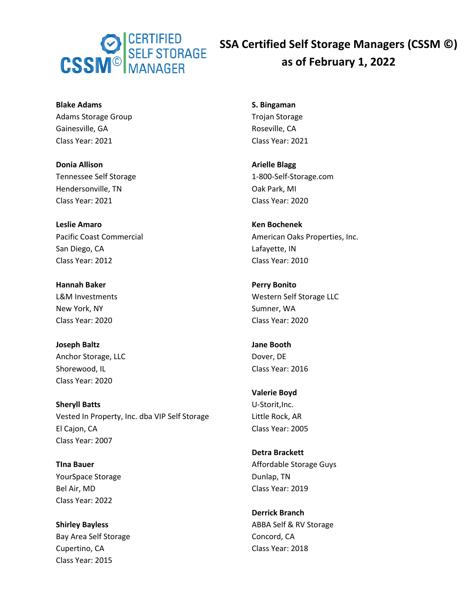

**Blake Adams** Adams Storage Group Gainesville, GA Class Year: 2021

**Donia Allison** Tennessee Self Storage Hendersonville, TN Class Year: 2021

**Leslie Amaro** Pacific Coast Commercial San Diego, CA Class Year: 2012

**Hannah Baker** L&M Investments New York, NY Class Year: 2020

**Joseph Baltz** Anchor Storage, LLC Shorewood, IL Class Year: 2020

**Sheryll Batts** Vested In Property, Inc. dba VIP Self Storage El Cajon, CA Class Year: 2007

**TIna Bauer** YourSpace Storage Bel Air, MD Class Year: 2022

**Shirley Bayless** Bay Area Self Storage Cupertino, CA Class Year: 2015

**S. Bingaman** Trojan Storage Roseville, CA Class Year: 2021

**Arielle Blagg** 1-800-Self-Storage.com Oak Park, MI Class Year: 2020

**Ken Bochenek** American Oaks Properties, Inc. Lafayette, IN Class Year: 2010

**Perry Bonito** Western Self Storage LLC Sumner, WA Class Year: 2020

**Jane Booth** Dover, DE Class Year: 2016

**Valerie Boyd** U-Storit,Inc. Little Rock, AR Class Year: 2005

**Detra Brackett** Affordable Storage Guys Dunlap, TN Class Year: 2019

**Derrick Branch** ABBA Self & RV Storage Concord, CA Class Year: 2018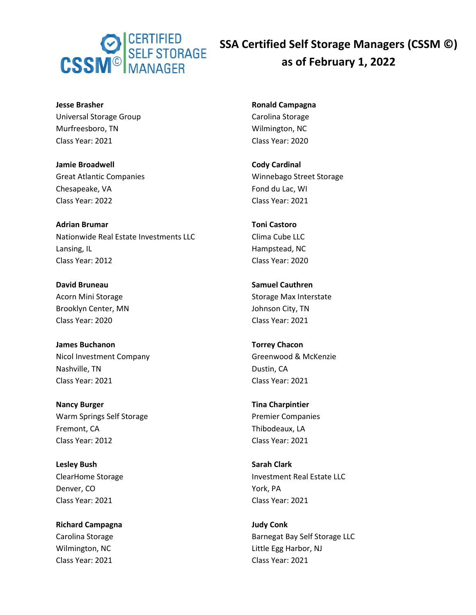

**Jesse Brasher** Universal Storage Group Murfreesboro, TN Class Year: 2021

**Jamie Broadwell** Great Atlantic Companies Chesapeake, VA Class Year: 2022

**Adrian Brumar** Nationwide Real Estate Investments LLC Lansing, IL Class Year: 2012

**David Bruneau** Acorn Mini Storage Brooklyn Center, MN Class Year: 2020

**James Buchanon** Nicol Investment Company Nashville, TN Class Year: 2021

**Nancy Burger** Warm Springs Self Storage Fremont, CA Class Year: 2012

**Lesley Bush** ClearHome Storage Denver, CO Class Year: 2021

**Richard Campagna** Carolina Storage Wilmington, NC Class Year: 2021

**Ronald Campagna** Carolina Storage Wilmington, NC Class Year: 2020

**Cody Cardinal** Winnebago Street Storage Fond du Lac, WI Class Year: 2021

**Toni Castoro** Clima Cube LLC Hampstead, NC Class Year: 2020

**Samuel Cauthren** Storage Max Interstate Johnson City, TN Class Year: 2021

**Torrey Chacon** Greenwood & McKenzie Dustin, CA Class Year: 2021

**Tina Charpintier** Premier Companies Thibodeaux, LA Class Year: 2021

**Sarah Clark** Investment Real Estate LLC York, PA Class Year: 2021

**Judy Conk** Barnegat Bay Self Storage LLC Little Egg Harbor, NJ Class Year: 2021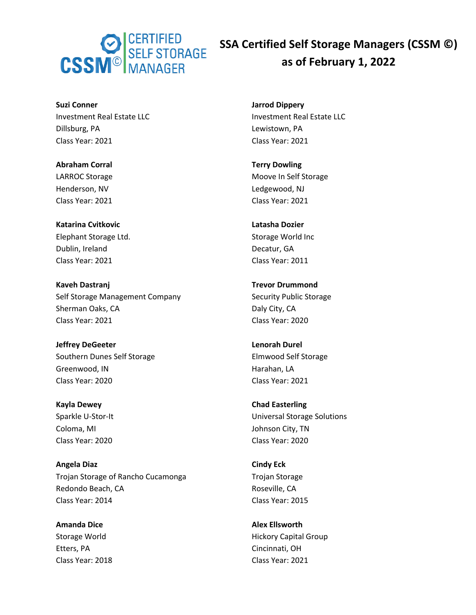

**Suzi Conner** Investment Real Estate LLC Dillsburg, PA Class Year: 2021

**Abraham Corral** LARROC Storage Henderson, NV Class Year: 2021

**Katarina Cvitkovic** Elephant Storage Ltd. Dublin, Ireland Class Year: 2021

**Kaveh Dastranj** Self Storage Management Company Sherman Oaks, CA Class Year: 2021

**Jeffrey DeGeeter** Southern Dunes Self Storage Greenwood, IN Class Year: 2020

**Kayla Dewey** Sparkle U-Stor-It Coloma, MI Class Year: 2020

**Angela Diaz** Trojan Storage of Rancho Cucamonga Redondo Beach, CA Class Year: 2014

**Amanda Dice** Storage World Etters, PA Class Year: 2018 **Jarrod Dippery** Investment Real Estate LLC Lewistown, PA Class Year: 2021

**Terry Dowling** Moove In Self Storage Ledgewood, NJ Class Year: 2021

**Latasha Dozier** Storage World Inc Decatur, GA Class Year: 2011

**Trevor Drummond** Security Public Storage Daly City, CA Class Year: 2020

**Lenorah Durel** Elmwood Self Storage Harahan, LA Class Year: 2021

**Chad Easterling** Universal Storage Solutions Johnson City, TN Class Year: 2020

**Cindy Eck** Trojan Storage Roseville, CA Class Year: 2015

**Alex Ellsworth** Hickory Capital Group Cincinnati, OH Class Year: 2021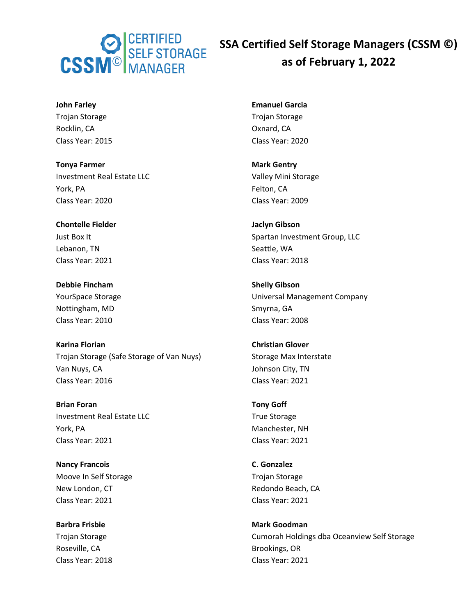

**John Farley** Trojan Storage Rocklin, CA Class Year: 2015

**Tonya Farmer** Investment Real Estate LLC York, PA Class Year: 2020

**Chontelle Fielder** Just Box It Lebanon, TN Class Year: 2021

**Debbie Fincham** YourSpace Storage Nottingham, MD Class Year: 2010

**Karina Florian** Trojan Storage (Safe Storage of Van Nuys) Van Nuys, CA Class Year: 2016

**Brian Foran** Investment Real Estate LLC York, PA Class Year: 2021

**Nancy Francois** Moove In Self Storage New London, CT Class Year: 2021

**Barbra Frisbie** Trojan Storage Roseville, CA Class Year: 2018

**Emanuel Garcia** Trojan Storage Oxnard, CA Class Year: 2020

**Mark Gentry** Valley Mini Storage Felton, CA Class Year: 2009

**Jaclyn Gibson** Spartan Investment Group, LLC Seattle, WA Class Year: 2018

**Shelly Gibson** Universal Management Company Smyrna, GA Class Year: 2008

**Christian Glover** Storage Max Interstate Johnson City, TN Class Year: 2021

**Tony Goff** True Storage Manchester, NH Class Year: 2021

**C. Gonzalez** Trojan Storage Redondo Beach, CA Class Year: 2021

**Mark Goodman** Cumorah Holdings dba Oceanview Self Storage Brookings, OR Class Year: 2021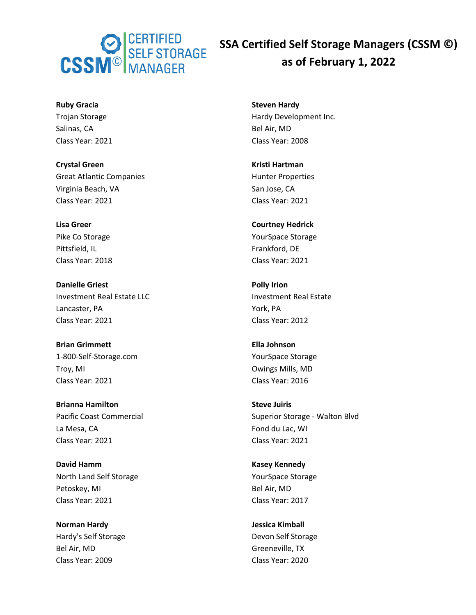

**Ruby Gracia** Trojan Storage Salinas, CA Class Year: 2021

**Crystal Green** Great Atlantic Companies Virginia Beach, VA Class Year: 2021

**Lisa Greer** Pike Co Storage Pittsfield, IL Class Year: 2018

**Danielle Griest** Investment Real Estate LLC Lancaster, PA Class Year: 2021

**Brian Grimmett** 1-800-Self-Storage.com Troy, MI Class Year: 2021

**Brianna Hamilton** Pacific Coast Commercial La Mesa, CA Class Year: 2021

**David Hamm** North Land Self Storage Petoskey, MI Class Year: 2021

**Norman Hardy** Hardy's Self Storage Bel Air, MD Class Year: 2009

**Steven Hardy** Hardy Development Inc. Bel Air, MD Class Year: 2008

**Kristi Hartman** Hunter Properties San Jose, CA Class Year: 2021

**Courtney Hedrick** YourSpace Storage Frankford, DE Class Year: 2021

**Polly Irion** Investment Real Estate York, PA Class Year: 2012

**Ella Johnson** YourSpace Storage Owings Mills, MD Class Year: 2016

**Steve Juiris** Superior Storage - Walton Blvd Fond du Lac, WI Class Year: 2021

**Kasey Kennedy** YourSpace Storage Bel Air, MD Class Year: 2017

**Jessica Kimball** Devon Self Storage Greeneville, TX Class Year: 2020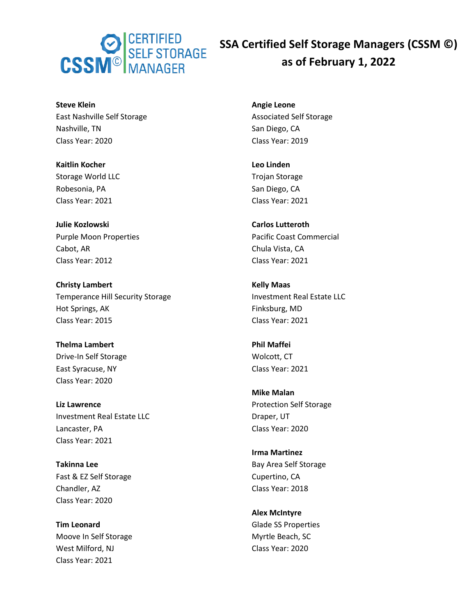

**Steve Klein** East Nashville Self Storage Nashville, TN Class Year: 2020

**Kaitlin Kocher** Storage World LLC Robesonia, PA Class Year: 2021

**Julie Kozlowski** Purple Moon Properties Cabot, AR Class Year: 2012

**Christy Lambert** Temperance Hill Security Storage Hot Springs, AK Class Year: 2015

**Thelma Lambert** Drive-In Self Storage East Syracuse, NY Class Year: 2020

**Liz Lawrence** Investment Real Estate LLC Lancaster, PA Class Year: 2021

**Takinna Lee** Fast & EZ Self Storage Chandler, AZ Class Year: 2020

**Tim Leonard** Moove In Self Storage West Milford, NJ Class Year: 2021

**Angie Leone** Associated Self Storage San Diego, CA Class Year: 2019

**Leo Linden** Trojan Storage San Diego, CA Class Year: 2021

**Carlos Lutteroth** Pacific Coast Commercial Chula Vista, CA Class Year: 2021

**Kelly Maas** Investment Real Estate LLC Finksburg, MD Class Year: 2021

**Phil Maffei** Wolcott, CT Class Year: 2021

**Mike Malan** Protection Self Storage Draper, UT Class Year: 2020

**Irma Martinez** Bay Area Self Storage Cupertino, CA Class Year: 2018

**Alex McIntyre** Glade SS Properties Myrtle Beach, SC Class Year: 2020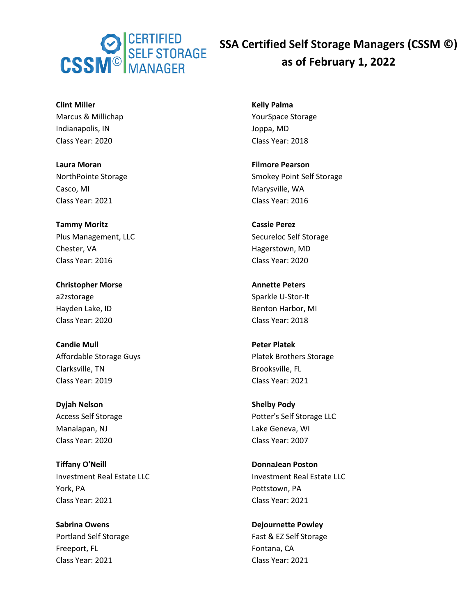

**Clint Miller** Marcus & Millichap Indianapolis, IN Class Year: 2020

**Laura Moran** NorthPointe Storage Casco, MI Class Year: 2021

**Tammy Moritz** Plus Management, LLC Chester, VA Class Year: 2016

**Christopher Morse** a2zstorage Hayden Lake, ID Class Year: 2020

**Candie Mull** Affordable Storage Guys Clarksville, TN Class Year: 2019

**Dyjah Nelson** Access Self Storage Manalapan, NJ Class Year: 2020

**Tiffany O'Neill** Investment Real Estate LLC York, PA Class Year: 2021

**Sabrina Owens** Portland Self Storage Freeport, FL Class Year: 2021

**Kelly Palma** YourSpace Storage Joppa, MD Class Year: 2018

**Filmore Pearson** Smokey Point Self Storage Marysville, WA Class Year: 2016

**Cassie Perez** Secureloc Self Storage Hagerstown, MD Class Year: 2020

**Annette Peters** Sparkle U-Stor-It Benton Harbor, MI Class Year: 2018

**Peter Platek** Platek Brothers Storage Brooksville, FL Class Year: 2021

**Shelby Pody** Potter's Self Storage LLC Lake Geneva, WI Class Year: 2007

**DonnaJean Poston** Investment Real Estate LLC Pottstown, PA Class Year: 2021

**Dejournette Powley** Fast & EZ Self Storage Fontana, CA Class Year: 2021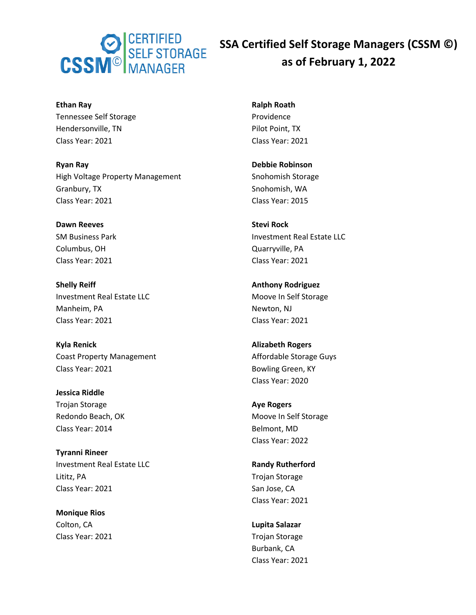

**Ethan Ray** Tennessee Self Storage Hendersonville, TN Class Year: 2021

**Ryan Ray** High Voltage Property Management Granbury, TX Class Year: 2021

**Dawn Reeves** SM Business Park Columbus, OH Class Year: 2021

**Shelly Reiff** Investment Real Estate LLC Manheim, PA Class Year: 2021

**Kyla Renick** Coast Property Management Class Year: 2021

**Jessica Riddle** Trojan Storage Redondo Beach, OK Class Year: 2014

**Tyranni Rineer** Investment Real Estate LLC Lititz, PA Class Year: 2021

**Monique Rios** Colton, CA Class Year: 2021 **Ralph Roath** Providence Pilot Point, TX Class Year: 2021

**Debbie Robinson** Snohomish Storage Snohomish, WA Class Year: 2015

**Stevi Rock** Investment Real Estate LLC Quarryville, PA Class Year: 2021

**Anthony Rodriguez** Moove In Self Storage Newton, NJ Class Year: 2021

**Alizabeth Rogers** Affordable Storage Guys Bowling Green, KY Class Year: 2020

**Aye Rogers** Moove In Self Storage Belmont, MD Class Year: 2022

**Randy Rutherford** Trojan Storage San Jose, CA Class Year: 2021

**Lupita Salazar** Trojan Storage Burbank, CA Class Year: 2021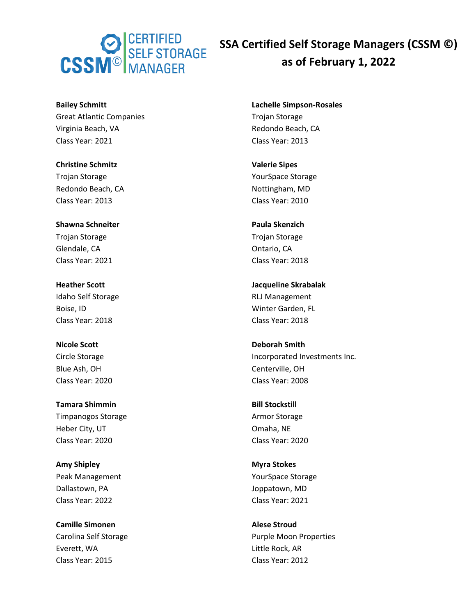

**Bailey Schmitt** Great Atlantic Companies Virginia Beach, VA Class Year: 2021

**Christine Schmitz** Trojan Storage Redondo Beach, CA Class Year: 2013

**Shawna Schneiter** Trojan Storage Glendale, CA Class Year: 2021

**Heather Scott** Idaho Self Storage Boise, ID Class Year: 2018

**Nicole Scott** Circle Storage Blue Ash, OH Class Year: 2020

**Tamara Shimmin** Timpanogos Storage Heber City, UT Class Year: 2020

**Amy Shipley** Peak Management Dallastown, PA Class Year: 2022

**Camille Simonen** Carolina Self Storage Everett, WA Class Year: 2015

**Lachelle Simpson-Rosales** Trojan Storage Redondo Beach, CA Class Year: 2013

**Valerie Sipes** YourSpace Storage Nottingham, MD Class Year: 2010

**Paula Skenzich** Trojan Storage Ontario, CA Class Year: 2018

**Jacqueline Skrabalak** RLJ Management Winter Garden, FL Class Year: 2018

**Deborah Smith** Incorporated Investments Inc. Centerville, OH Class Year: 2008

**Bill Stockstill** Armor Storage Omaha, NE Class Year: 2020

**Myra Stokes** YourSpace Storage Joppatown, MD Class Year: 2021

**Alese Stroud** Purple Moon Properties Little Rock, AR Class Year: 2012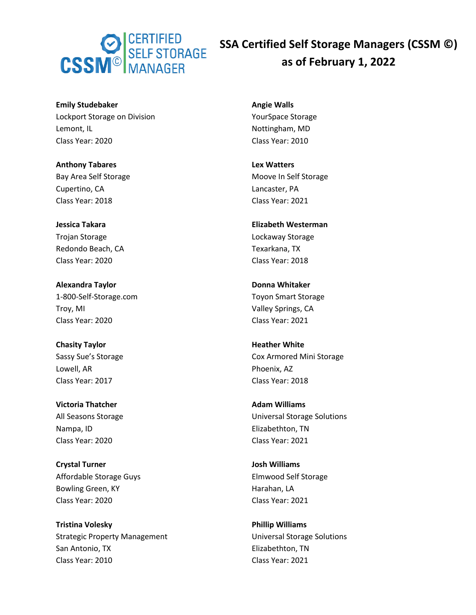

**Emily Studebaker** Lockport Storage on Division Lemont, IL Class Year: 2020

**Anthony Tabares** Bay Area Self Storage Cupertino, CA Class Year: 2018

**Jessica Takara** Trojan Storage Redondo Beach, CA Class Year: 2020

**Alexandra Taylor** 1-800-Self-Storage.com Troy, MI Class Year: 2020

**Chasity Taylor** Sassy Sue's Storage Lowell, AR Class Year: 2017

**Victoria Thatcher** All Seasons Storage Nampa, ID Class Year: 2020

**Crystal Turner** Affordable Storage Guys Bowling Green, KY Class Year: 2020

**Tristina Volesky** Strategic Property Management San Antonio, TX Class Year: 2010

**Angie Walls** YourSpace Storage Nottingham, MD Class Year: 2010

**Lex Watters** Moove In Self Storage Lancaster, PA Class Year: 2021

**Elizabeth Westerman** Lockaway Storage Texarkana, TX Class Year: 2018

**Donna Whitaker** Toyon Smart Storage Valley Springs, CA Class Year: 2021

**Heather White** Cox Armored Mini Storage Phoenix, AZ Class Year: 2018

**Adam Williams** Universal Storage Solutions Elizabethton, TN Class Year: 2021

**Josh Williams** Elmwood Self Storage Harahan, LA Class Year: 2021

**Phillip Williams** Universal Storage Solutions Elizabethton, TN Class Year: 2021